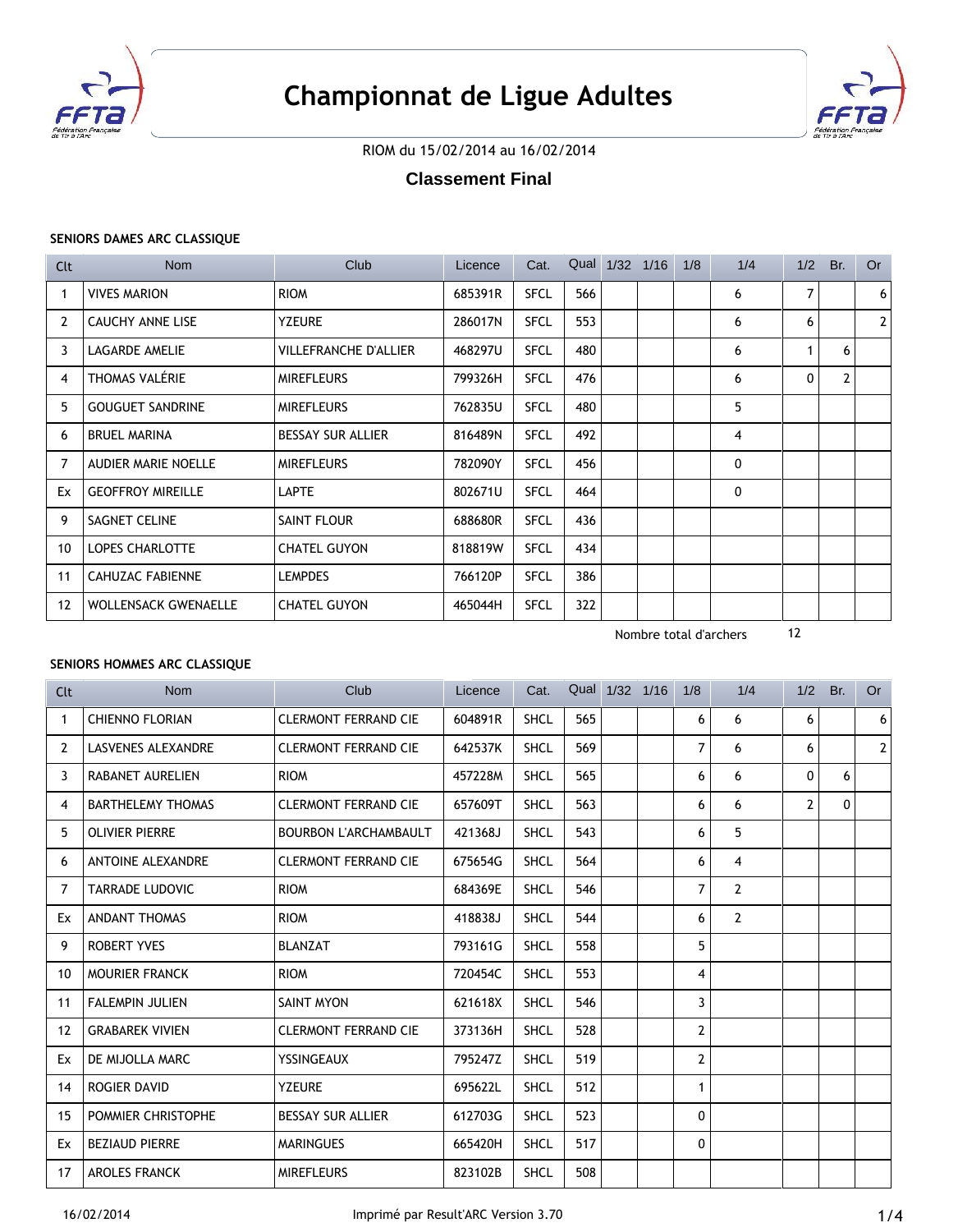



# RIOM du 15/02/2014 au 16/02/2014

# **Classement Final**

## **SENIORS DAMES ARC CLASSIQUE**

| Clt | <b>Nom</b>                  | Club                         | Licence | Cat.        |     | Qual 1/32 1/16 | 1/8 | 1/4 | 1/2 | Br.            | <b>Or</b>      |
|-----|-----------------------------|------------------------------|---------|-------------|-----|----------------|-----|-----|-----|----------------|----------------|
|     | <b>VIVES MARION</b>         | <b>RIOM</b>                  | 685391R | <b>SFCL</b> | 566 |                |     | 6   | 7   |                | 6 <sup>1</sup> |
| 2   | <b>CAUCHY ANNE LISE</b>     | <b>YZEURE</b>                | 286017N | <b>SFCL</b> | 553 |                |     | 6   | 6   |                | 2 <sup>1</sup> |
| 3   | LAGARDE AMELIE              | <b>VILLEFRANCHE D'ALLIER</b> | 468297U | <b>SFCL</b> | 480 |                |     | 6   |     | 6              |                |
| 4   | THOMAS VALÉRIE              | <b>MIREFLEURS</b>            | 799326H | <b>SFCL</b> | 476 |                |     | 6   | 0   | $\overline{2}$ |                |
| 5   | <b>GOUGUET SANDRINE</b>     | <b>MIREFLEURS</b>            | 762835U | <b>SFCL</b> | 480 |                |     | 5   |     |                |                |
| 6   | <b>BRUEL MARINA</b>         | <b>BESSAY SUR ALLIER</b>     | 816489N | <b>SFCL</b> | 492 |                |     | 4   |     |                |                |
| 7   | AUDIER MARIE NOELLE         | <b>MIREFLEURS</b>            | 782090Y | <b>SFCL</b> | 456 |                |     | 0   |     |                |                |
| Ex  | <b>GEOFFROY MIREILLE</b>    | <b>LAPTE</b>                 | 802671U | <b>SFCL</b> | 464 |                |     | 0   |     |                |                |
| 9   | SAGNET CELINE               | SAINT FLOUR                  | 688680R | <b>SFCL</b> | 436 |                |     |     |     |                |                |
| 10  | <b>LOPES CHARLOTTE</b>      | <b>CHATEL GUYON</b>          | 818819W | <b>SFCL</b> | 434 |                |     |     |     |                |                |
| 11  | <b>CAHUZAC FABIENNE</b>     | <b>LEMPDES</b>               | 766120P | <b>SFCL</b> | 386 |                |     |     |     |                |                |
| 12  | <b>WOLLENSACK GWENAELLE</b> | <b>CHATEL GUYON</b>          | 465044H | <b>SFCL</b> | 322 |                |     |     |     |                |                |

Nombre total d'archers 12

# **SENIORS HOMMES ARC CLASSIQUE**

| <b>Clt</b>        | <b>Nom</b>                | Club                         | Licence | Cat.        |     | Qual 1/32 1/16 | 1/8 | 1/4            | 1/2          | Br.      | <b>Or</b>      |
|-------------------|---------------------------|------------------------------|---------|-------------|-----|----------------|-----|----------------|--------------|----------|----------------|
| 1                 | <b>CHIENNO FLORIAN</b>    | <b>CLERMONT FERRAND CIE</b>  | 604891R | <b>SHCL</b> | 565 |                | 6   | 6              | 6            |          | 6              |
| 2                 | <b>LASVENES ALEXANDRE</b> | <b>CLERMONT FERRAND CIE</b>  | 642537K | <b>SHCL</b> | 569 |                | 7   | 6              | 6            |          | 2 <sup>1</sup> |
| 3                 | <b>RABANET AURELIEN</b>   | <b>RIOM</b>                  | 457228M | <b>SHCL</b> | 565 |                | 6   | 6              | $\mathbf{0}$ | 6        |                |
| 4                 | <b>BARTHELEMY THOMAS</b>  | <b>CLERMONT FERRAND CIE</b>  | 657609T | <b>SHCL</b> | 563 |                | 6   | 6              | $\mathbf{2}$ | $\Omega$ |                |
| 5                 | <b>OLIVIER PIERRE</b>     | <b>BOURBON L'ARCHAMBAULT</b> | 421368J | <b>SHCL</b> | 543 |                | 6   | 5              |              |          |                |
| 6                 | ANTOINE ALEXANDRE         | <b>CLERMONT FERRAND CIE</b>  | 675654G | <b>SHCL</b> | 564 |                | 6   | 4              |              |          |                |
| 7                 | <b>TARRADE LUDOVIC</b>    | <b>RIOM</b>                  | 684369E | <b>SHCL</b> | 546 |                | 7   | $\overline{2}$ |              |          |                |
| Ex                | <b>ANDANT THOMAS</b>      | <b>RIOM</b>                  | 418838J | <b>SHCL</b> | 544 |                | 6   | 2              |              |          |                |
| 9                 | <b>ROBERT YVES</b>        | <b>BLANZAT</b>               | 793161G | <b>SHCL</b> | 558 |                | 5   |                |              |          |                |
| 10                | <b>MOURIER FRANCK</b>     | <b>RIOM</b>                  | 720454C | <b>SHCL</b> | 553 |                | 4   |                |              |          |                |
| 11                | <b>FALEMPIN JULIEN</b>    | <b>SAINT MYON</b>            | 621618X | <b>SHCL</b> | 546 |                | 3   |                |              |          |                |
| $12 \overline{ }$ | <b>GRABAREK VIVIEN</b>    | <b>CLERMONT FERRAND CIE</b>  | 373136H | <b>SHCL</b> | 528 |                | 2   |                |              |          |                |
| Ex                | DE MIJOLLA MARC           | YSSINGEAUX                   | 795247Z | <b>SHCL</b> | 519 |                | 2   |                |              |          |                |
| 14                | <b>ROGIER DAVID</b>       | <b>YZEURE</b>                | 695622L | <b>SHCL</b> | 512 |                | 1   |                |              |          |                |
| 15                | POMMIER CHRISTOPHE        | <b>BESSAY SUR ALLIER</b>     | 612703G | <b>SHCL</b> | 523 |                | 0   |                |              |          |                |
| Ex                | <b>BEZIAUD PIERRE</b>     | <b>MARINGUES</b>             | 665420H | <b>SHCL</b> | 517 |                | 0   |                |              |          |                |
| 17                | <b>AROLES FRANCK</b>      | <b>MIREFLEURS</b>            | 823102B | <b>SHCL</b> | 508 |                |     |                |              |          |                |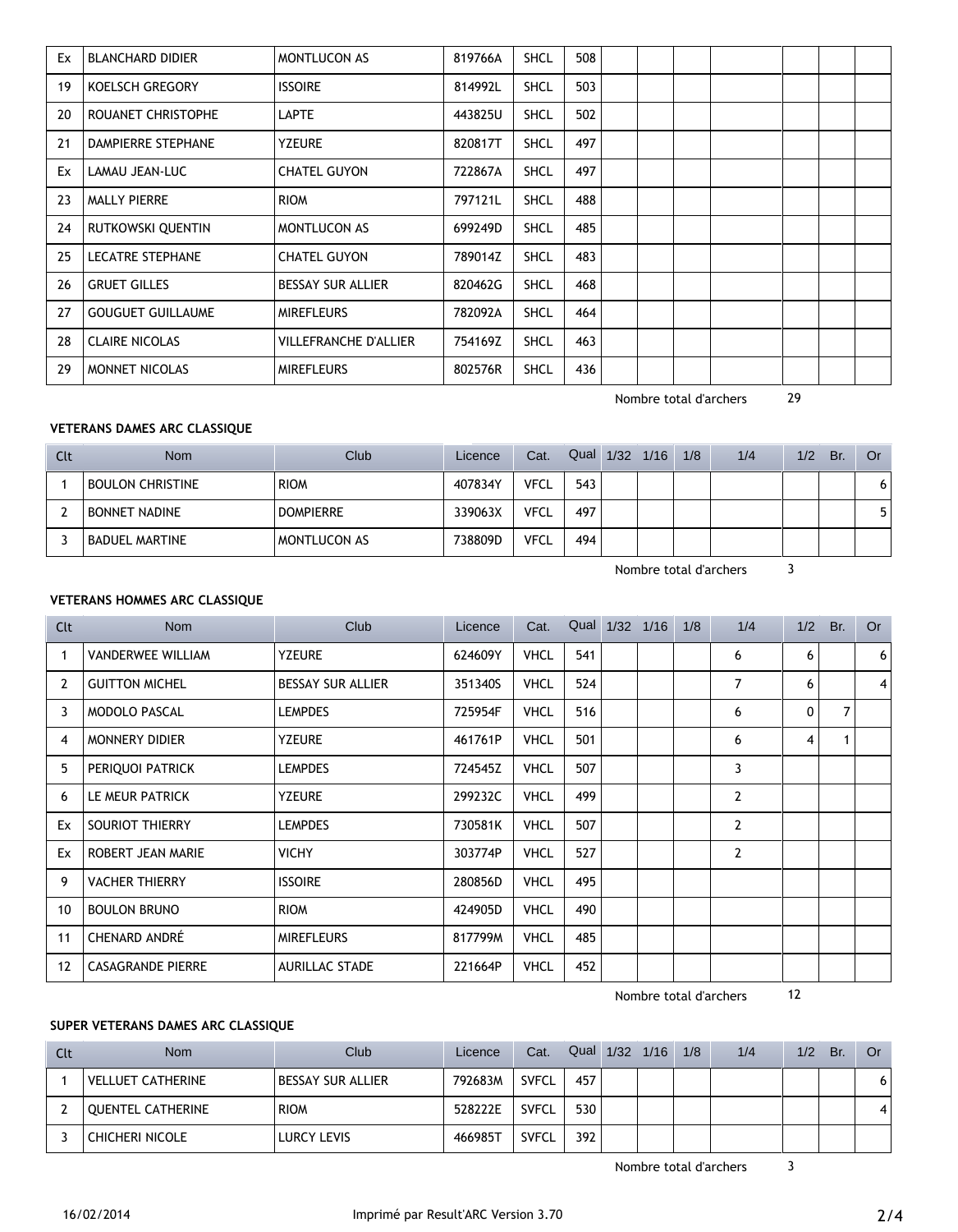| Ex | <b>BLANCHARD DIDIER</b>  | <b>MONTLUCON AS</b>          | 819766A | <b>SHCL</b> | 508 |  |  |  |  |
|----|--------------------------|------------------------------|---------|-------------|-----|--|--|--|--|
| 19 | KOELSCH GREGORY          | <b>ISSOIRE</b>               | 814992L | <b>SHCL</b> | 503 |  |  |  |  |
| 20 | ROUANET CHRISTOPHE       | <b>LAPTE</b>                 | 443825U | <b>SHCL</b> | 502 |  |  |  |  |
| 21 | DAMPIERRE STEPHANE       | <b>YZEURE</b>                | 820817T | <b>SHCL</b> | 497 |  |  |  |  |
| Ex | LAMAU JEAN-LUC           | <b>CHATEL GUYON</b>          | 722867A | <b>SHCL</b> | 497 |  |  |  |  |
| 23 | <b>MALLY PIERRE</b>      | <b>RIOM</b>                  | 797121L | <b>SHCL</b> | 488 |  |  |  |  |
| 24 | RUTKOWSKI QUENTIN        | <b>MONTLUCON AS</b>          | 699249D | <b>SHCL</b> | 485 |  |  |  |  |
| 25 | <b>LECATRE STEPHANE</b>  | <b>CHATEL GUYON</b>          | 789014Z | <b>SHCL</b> | 483 |  |  |  |  |
| 26 | <b>GRUET GILLES</b>      | <b>BESSAY SUR ALLIER</b>     | 820462G | <b>SHCL</b> | 468 |  |  |  |  |
| 27 | <b>GOUGUET GUILLAUME</b> | <b>MIREFLEURS</b>            | 782092A | <b>SHCL</b> | 464 |  |  |  |  |
| 28 | <b>CLAIRE NICOLAS</b>    | <b>VILLEFRANCHE D'ALLIER</b> | 754169Z | <b>SHCL</b> | 463 |  |  |  |  |
| 29 | MONNET NICOLAS           | <b>MIREFLEURS</b>            | 802576R | <b>SHCL</b> | 436 |  |  |  |  |

Nombre total d'archers 29

# **VETERANS DAMES ARC CLASSIQUE**

| Clt | <b>Nom</b>              | <b>Club</b>      | Licence | Cat.        | Qual | 1/32 | 1/16 | 1/8 | 1/4 | 1/2 | Br. | <b>Or</b> |
|-----|-------------------------|------------------|---------|-------------|------|------|------|-----|-----|-----|-----|-----------|
|     | <b>BOULON CHRISTINE</b> | <b>RIOM</b>      | 407834Y | <b>VFCL</b> | 543  |      |      |     |     |     |     |           |
|     | <b>BONNET NADINE</b>    | <b>DOMPIERRE</b> | 339063X | <b>VFCL</b> | 497  |      |      |     |     |     |     |           |
|     | <b>BADUEL MARTINE</b>   | MONTLUCON AS     | 738809D | <b>VFCL</b> | 494  |      |      |     |     |     |     |           |

Nombre total d'archers 3

# **VETERANS HOMMES ARC CLASSIQUE**

| Clt | <b>Nom</b>               | Club                     | Licence | Cat.        |     | Qual 1/32 1/16 | 1/8 | 1/4            | 1/2 | Br. | <b>Or</b>      |
|-----|--------------------------|--------------------------|---------|-------------|-----|----------------|-----|----------------|-----|-----|----------------|
|     | <b>VANDERWEE WILLIAM</b> | <b>YZEURE</b>            | 624609Y | <b>VHCL</b> | 541 |                |     | 6              | 6   |     | 6              |
| 2   | <b>GUITTON MICHEL</b>    | <b>BESSAY SUR ALLIER</b> | 351340S | <b>VHCL</b> | 524 |                |     | 7              | 6   |     | $\overline{4}$ |
| 3   | <b>MODOLO PASCAL</b>     | <b>LEMPDES</b>           | 725954F | <b>VHCL</b> | 516 |                |     | 6              | 0   | 7   |                |
| 4   | <b>MONNERY DIDIER</b>    | <b>YZEURE</b>            | 461761P | <b>VHCL</b> | 501 |                |     | 6              | 4   |     |                |
| 5   | PERIQUOI PATRICK         | <b>LEMPDES</b>           | 724545Z | <b>VHCL</b> | 507 |                |     | 3              |     |     |                |
| 6   | LE MEUR PATRICK          | <b>YZEURE</b>            | 299232C | <b>VHCL</b> | 499 |                |     | $\overline{2}$ |     |     |                |
| Ex  | SOURIOT THIERRY          | <b>LEMPDES</b>           | 730581K | <b>VHCL</b> | 507 |                |     | $\overline{2}$ |     |     |                |
| Ex  | ROBERT JEAN MARIE        | <b>VICHY</b>             | 303774P | <b>VHCL</b> | 527 |                |     | $\overline{2}$ |     |     |                |
| 9   | <b>VACHER THIERRY</b>    | <b>ISSOIRE</b>           | 280856D | <b>VHCL</b> | 495 |                |     |                |     |     |                |
| 10  | <b>BOULON BRUNO</b>      | <b>RIOM</b>              | 424905D | <b>VHCL</b> | 490 |                |     |                |     |     |                |
| 11  | <b>CHENARD ANDRÉ</b>     | <b>MIREFLEURS</b>        | 817799M | <b>VHCL</b> | 485 |                |     |                |     |     |                |
| 12  | <b>CASAGRANDE PIERRE</b> | <b>AURILLAC STADE</b>    | 221664P | <b>VHCL</b> | 452 |                |     |                |     |     |                |

Nombre total d'archers 12

# **SUPER VETERANS DAMES ARC CLASSIQUE**

| Clt | <b>Nom</b>               | Club                     | Licence | Cat.         | Qual 1/32 1/16 1/8 |  | 1/4 | 1/2 | Br. | Or |
|-----|--------------------------|--------------------------|---------|--------------|--------------------|--|-----|-----|-----|----|
|     | <b>VELLUET CATHERINE</b> | <b>BESSAY SUR ALLIER</b> | 792683M | <b>SVFCL</b> | 457                |  |     |     |     |    |
|     | QUENTEL CATHERINE        | <b>RIOM</b>              | 528222E | <b>SVFCL</b> | 530                |  |     |     |     |    |
|     | CHICHERI NICOLE          | LURCY LEVIS              | 466985T | <b>SVFCL</b> | 392                |  |     |     |     |    |

Nombre total d'archers 3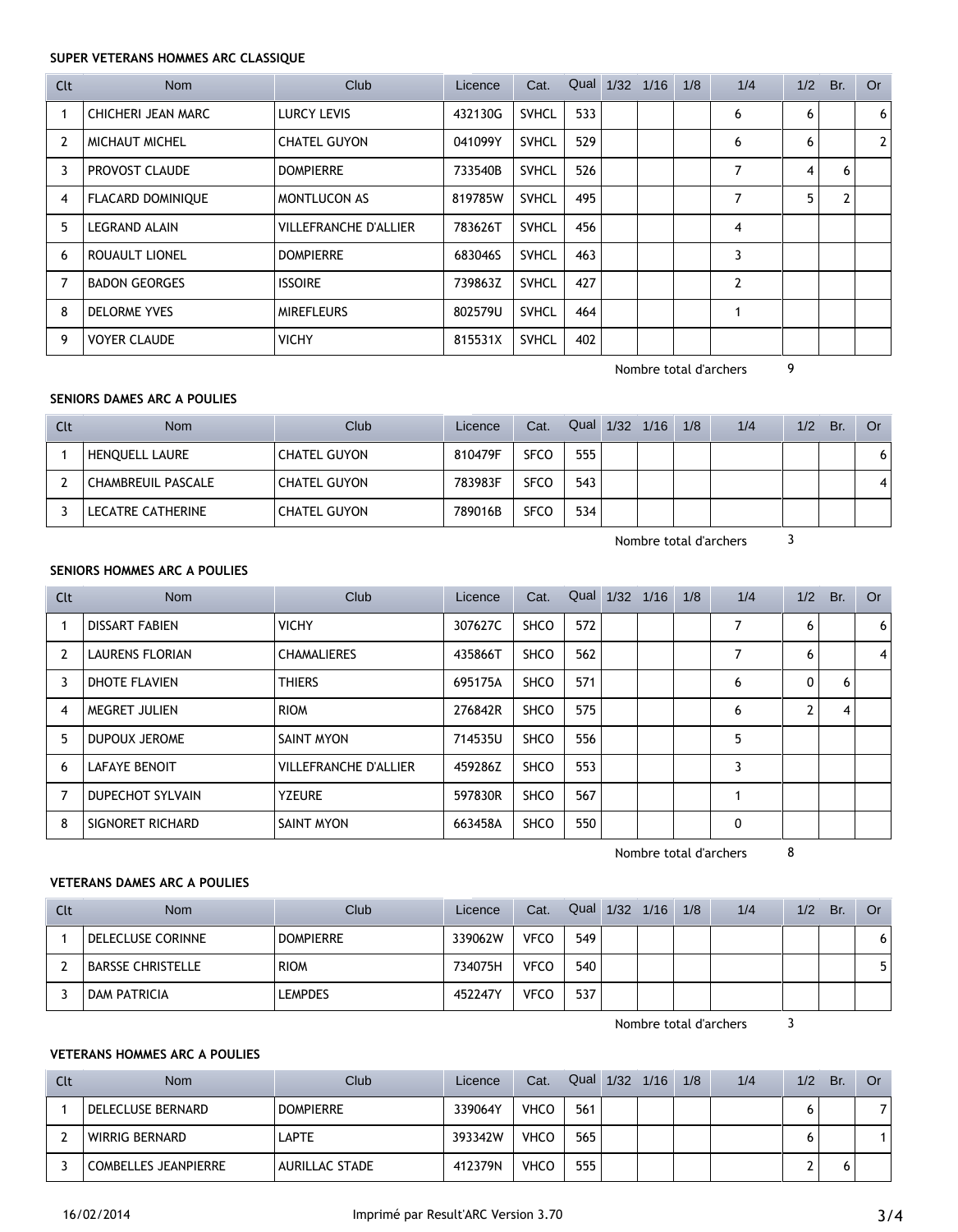## **SUPER VETERANS HOMMES ARC CLASSIQUE**

| Clt | Nom                      | Club                         | Licence | Cat.         | Qual 1/32 1/16 |  | 1/8 | 1/4 | 1/2 | Br. | <b>Or</b> |
|-----|--------------------------|------------------------------|---------|--------------|----------------|--|-----|-----|-----|-----|-----------|
|     | CHICHERI JEAN MARC       | <b>LURCY LEVIS</b>           | 432130G | <b>SVHCL</b> | 533            |  |     | 6   | 6   |     | 6         |
| 2   | <b>MICHAUT MICHEL</b>    | <b>CHATEL GUYON</b>          | 041099Y | <b>SVHCL</b> | 529            |  |     | 6   | 6   |     | 2         |
| 3   | PROVOST CLAUDE           | <b>DOMPIERRE</b>             | 733540B | <b>SVHCL</b> | 526            |  |     | 7   | 4   | 6   |           |
| 4   | <b>FLACARD DOMINIQUE</b> | <b>MONTLUCON AS</b>          | 819785W | <b>SVHCL</b> | 495            |  |     | 7   | 5   | 2   |           |
| 5.  | <b>LEGRAND ALAIN</b>     | <b>VILLEFRANCHE D'ALLIER</b> | 783626T | <b>SVHCL</b> | 456            |  |     | 4   |     |     |           |
| 6   | ROUAULT LIONEL           | <b>DOMPIERRE</b>             | 683046S | <b>SVHCL</b> | 463            |  |     | 3   |     |     |           |
|     | <b>BADON GEORGES</b>     | <b>ISSOIRE</b>               | 739863Z | <b>SVHCL</b> | 427            |  |     | 2   |     |     |           |
| 8   | <b>DELORME YVES</b>      | <b>MIREFLEURS</b>            | 802579U | <b>SVHCL</b> | 464            |  |     |     |     |     |           |
| 9   | <b>VOYER CLAUDE</b>      | <b>VICHY</b>                 | 815531X | <b>SVHCL</b> | 402            |  |     |     |     |     |           |

Nombre total d'archers 9

### **SENIORS DAMES ARC A POULIES**

| Clt | <b>Nom</b>         | Club                | Licence | Cat.        | Qual | 1/32 | 1/16 | 1/8 | 1/4 | 1/2 | Br. | Or |
|-----|--------------------|---------------------|---------|-------------|------|------|------|-----|-----|-----|-----|----|
|     | HENQUELL LAURE     | <b>CHATEL GUYON</b> | 810479F | <b>SFCO</b> | 555  |      |      |     |     |     |     | 6. |
|     | CHAMBREUIL PASCALE | <b>CHATEL GUYON</b> | 783983F | <b>SFCO</b> | 543  |      |      |     |     |     |     |    |
|     | LECATRE CATHERINE  | <b>CHATEL GUYON</b> | 789016B | <b>SFCO</b> | 534  |      |      |     |     |     |     |    |

Nombre total d'archers 3

### **SENIORS HOMMES ARC A POULIES**

| Clt | <b>Nom</b>             | Club                         | Licence | Cat.        | Qual | 1/32 | 1/16 | 1/8 | 1/4 | 1/2 | Br. | <b>Or</b> |
|-----|------------------------|------------------------------|---------|-------------|------|------|------|-----|-----|-----|-----|-----------|
|     | <b>DISSART FABIEN</b>  | <b>VICHY</b>                 | 307627C | <b>SHCO</b> | 572  |      |      |     | ⇁   | 6   |     | 6         |
| 2   | <b>LAURENS FLORIAN</b> | <b>CHAMALIERES</b>           | 435866T | <b>SHCO</b> | 562  |      |      |     |     | 6   |     | 4         |
| 3   | DHOTE FLAVIEN          | <b>THIERS</b>                | 695175A | <b>SHCO</b> | 571  |      |      |     | 6   | 0   | 6   |           |
| 4   | MEGRET JULIEN          | <b>RIOM</b>                  | 276842R | <b>SHCO</b> | 575  |      |      |     | 6   | C.  | 4   |           |
| 5.  | DUPOUX JEROME          | SAINT MYON                   | 714535U | <b>SHCO</b> | 556  |      |      |     | 5   |     |     |           |
| 6   | <b>LAFAYE BENOIT</b>   | <b>VILLEFRANCHE D'ALLIER</b> | 459286Z | <b>SHCO</b> | 553  |      |      |     | 3   |     |     |           |
|     | DUPECHOT SYLVAIN       | <b>YZEURE</b>                | 597830R | <b>SHCO</b> | 567  |      |      |     |     |     |     |           |
| 8   | SIGNORET RICHARD       | SAINT MYON                   | 663458A | <b>SHCO</b> | 550  |      |      |     | 0   |     |     |           |

Nombre total d'archers 8

# **VETERANS DAMES ARC A POULIES**

| Clt | <b>Nom</b>               | Club             | Licence | Cat.        | Qual | $1/32$ $1/16$ | 1/8 | 1/4 | 1/2 | Br. | 0r |
|-----|--------------------------|------------------|---------|-------------|------|---------------|-----|-----|-----|-----|----|
|     | DELECLUSE CORINNE        | <b>DOMPIERRE</b> | 339062W | <b>VFCO</b> | 549  |               |     |     |     |     | O  |
|     | <b>BARSSE CHRISTELLE</b> | <b>RIOM</b>      | 734075H | <b>VFCO</b> | 540  |               |     |     |     |     |    |
|     | <b>DAM PATRICIA</b>      | LEMPDES          | 452247Y | <b>VFCO</b> | 537  |               |     |     |     |     |    |

Nombre total d'archers 3

## **VETERANS HOMMES ARC A POULIES**

| Clt | <b>Nom</b>                  | Club             | Licence | Cat.        | Qual | 1/32 | 1/16 | 1/8 | 1/4 | 1/2 | Br. | Or |
|-----|-----------------------------|------------------|---------|-------------|------|------|------|-----|-----|-----|-----|----|
|     | DELECLUSE BERNARD           | <b>DOMPIERRE</b> | 339064Y | <b>VHCO</b> | 561  |      |      |     |     |     |     |    |
|     | WIRRIG BERNARD              | LAPTE            | 393342W | <b>VHCO</b> | 565  |      |      |     |     |     |     |    |
|     | <b>COMBELLES JEANPIERRE</b> | AURILLAC STADE   | 412379N | <b>VHCO</b> | 555  |      |      |     |     |     |     |    |